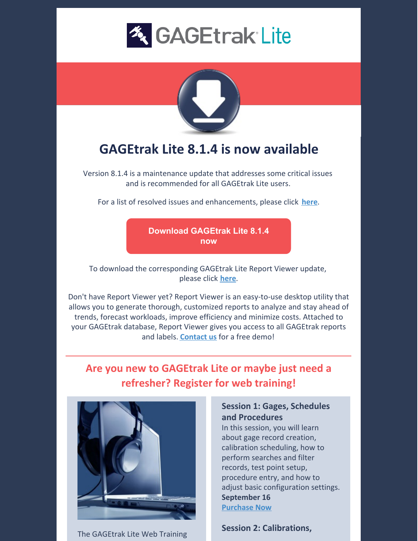



# **GAGEtrak Lite 8.1.4 is now available**

Version 8.1.4 is a maintenance update that addresses some critical issues and is recommended for all GAGEtrak Lite users.

For a list of resolved issues and enhancements, please click **[here](https://gagetrak.com/wp-content/uploads/GAGEtrak_Lite_Resolved_Issues_Enhancements_8.1.4.pdf)**.

**Download [GAGEtrak](https://gagetrak.com/downloads/gagetraklite814/) Lite 8.1.4 now**

To download the corresponding GAGEtrak Lite Report Viewer update, please click **[here](https://gagetrak.com/downloads/gtlitereportviewer814/)**.

Don't have Report Viewer yet? Report Viewer is an easy-to-use desktop utility that allows you to generate thorough, customized reports to analyze and stay ahead of trends, forecast workloads, improve efficiency and minimize costs. Attached to your GAGEtrak database, Report Viewer gives you access to all GAGEtrak reports and labels. **[Contact](mailto:sales@cybermetrics.com) us** for a free demo!

## **Are you new to GAGEtrak Lite or maybe just need a refresher? Register for web training!**



The GAGEtrak Lite Web Training

### **Session 1: Gages, Schedules and Procedures**

In this session, you will learn about gage record creation, calibration scheduling, how to perform searches and filter records, test point setup, procedure entry, and how to adjust basic configuration settings. **September 16 [Purchase](https://attendee.gototraining.com/r/6232464422740096002) Now**

**Session 2: Calibrations,**